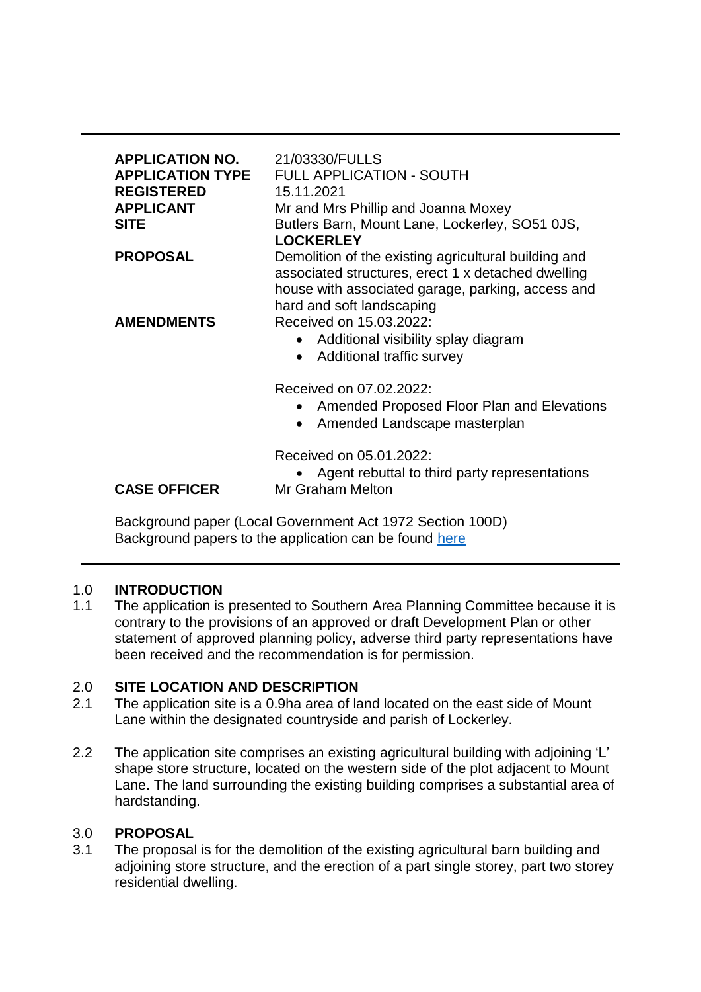| <b>APPLICATION NO.</b><br><b>APPLICATION TYPE</b><br><b>REGISTERED</b><br><b>APPLICANT</b><br><b>SITE</b> | 21/03330/FULLS<br><b>FULL APPLICATION - SOUTH</b><br>15.11.2021<br>Mr and Mrs Phillip and Joanna Moxey<br>Butlers Barn, Mount Lane, Lockerley, SO51 0JS,<br><b>LOCKERLEY</b>                 |
|-----------------------------------------------------------------------------------------------------------|----------------------------------------------------------------------------------------------------------------------------------------------------------------------------------------------|
| <b>PROPOSAL</b>                                                                                           | Demolition of the existing agricultural building and<br>associated structures, erect 1 x detached dwelling<br>house with associated garage, parking, access and<br>hard and soft landscaping |
| <b>AMENDMENTS</b>                                                                                         | Received on 15.03.2022:<br>Additional visibility splay diagram<br>$\bullet$<br>Additional traffic survey<br>$\bullet$                                                                        |
|                                                                                                           | Received on 07.02.2022:<br>Amended Proposed Floor Plan and Elevations<br>$\bullet$<br>Amended Landscape masterplan<br>$\bullet$                                                              |
| <b>CASE OFFICER</b>                                                                                       | Received on 05.01.2022:<br>Agent rebuttal to third party representations<br><b>Mr Graham Melton</b>                                                                                          |

Background paper (Local Government Act 1972 Section 100D) Background papers to the application can be found [here](https://view-applications.testvalley.gov.uk/online-applications/advancedSearchResults.do?action=firstPage)

# 1.0 **INTRODUCTION**

1.1 The application is presented to Southern Area Planning Committee because it is contrary to the provisions of an approved or draft Development Plan or other statement of approved planning policy, adverse third party representations have been received and the recommendation is for permission.

## 2.0 **SITE LOCATION AND DESCRIPTION**

- 2.1 The application site is a 0.9ha area of land located on the east side of Mount Lane within the designated countryside and parish of Lockerley.
- 2.2 The application site comprises an existing agricultural building with adjoining 'L' shape store structure, located on the western side of the plot adjacent to Mount Lane. The land surrounding the existing building comprises a substantial area of hardstanding.

# 3.0 **PROPOSAL**

3.1 The proposal is for the demolition of the existing agricultural barn building and adjoining store structure, and the erection of a part single storey, part two storey residential dwelling.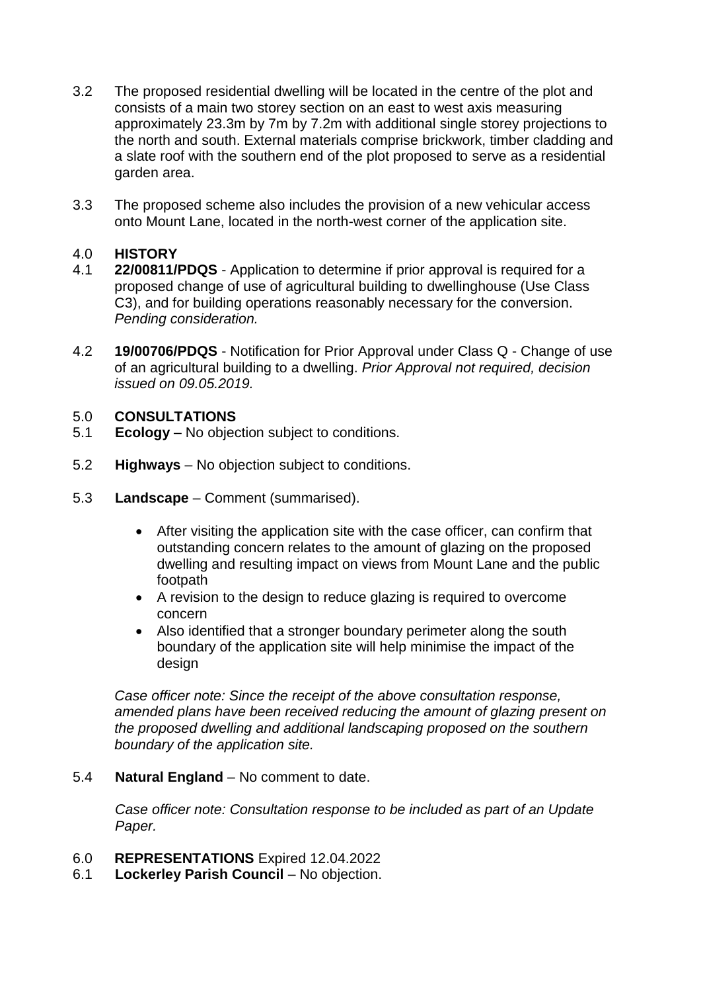- 3.2 The proposed residential dwelling will be located in the centre of the plot and consists of a main two storey section on an east to west axis measuring approximately 23.3m by 7m by 7.2m with additional single storey projections to the north and south. External materials comprise brickwork, timber cladding and a slate roof with the southern end of the plot proposed to serve as a residential garden area.
- 3.3 The proposed scheme also includes the provision of a new vehicular access onto Mount Lane, located in the north-west corner of the application site.

## 4.0 **HISTORY**

- 4.1 **22/00811/PDQS**  Application to determine if prior approval is required for a proposed change of use of agricultural building to dwellinghouse (Use Class C3), and for building operations reasonably necessary for the conversion. *Pending consideration.*
- 4.2 **19/00706/PDQS** Notification for Prior Approval under Class Q Change of use of an agricultural building to a dwelling. *Prior Approval not required, decision issued on 09.05.2019.*

## 5.0 **CONSULTATIONS**

- 5.1 **Ecology**  No objection subject to conditions.
- 5.2 **Highways**  No objection subject to conditions.
- 5.3 **Landscape**  Comment (summarised).
	- After visiting the application site with the case officer, can confirm that outstanding concern relates to the amount of glazing on the proposed dwelling and resulting impact on views from Mount Lane and the public footpath
	- A revision to the design to reduce glazing is required to overcome concern
	- Also identified that a stronger boundary perimeter along the south boundary of the application site will help minimise the impact of the design

*Case officer note: Since the receipt of the above consultation response, amended plans have been received reducing the amount of glazing present on the proposed dwelling and additional landscaping proposed on the southern boundary of the application site.*

#### 5.4 **Natural England** – No comment to date.

*Case officer note: Consultation response to be included as part of an Update Paper.*

- 6.0 **REPRESENTATIONS** Expired 12.04.2022
- 6.1 **Lockerley Parish Council** No objection.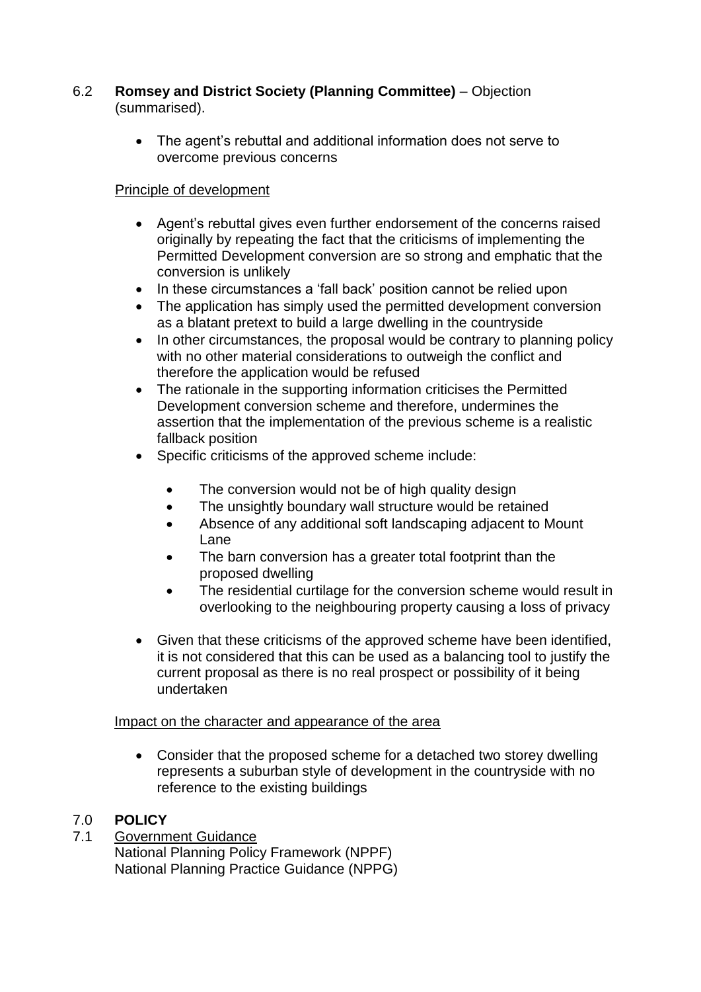## 6.2 **Romsey and District Society (Planning Committee)** – Objection (summarised).

 The agent's rebuttal and additional information does not serve to overcome previous concerns

# Principle of development

- Agent's rebuttal gives even further endorsement of the concerns raised originally by repeating the fact that the criticisms of implementing the Permitted Development conversion are so strong and emphatic that the conversion is unlikely
- In these circumstances a 'fall back' position cannot be relied upon
- The application has simply used the permitted development conversion as a blatant pretext to build a large dwelling in the countryside
- In other circumstances, the proposal would be contrary to planning policy with no other material considerations to outweigh the conflict and therefore the application would be refused
- The rationale in the supporting information criticises the Permitted Development conversion scheme and therefore, undermines the assertion that the implementation of the previous scheme is a realistic fallback position
- Specific criticisms of the approved scheme include:
	- The conversion would not be of high quality design
	- The unsightly boundary wall structure would be retained
	- Absence of any additional soft landscaping adjacent to Mount Lane
	- The barn conversion has a greater total footprint than the proposed dwelling
	- The residential curtilage for the conversion scheme would result in overlooking to the neighbouring property causing a loss of privacy
- Given that these criticisms of the approved scheme have been identified, it is not considered that this can be used as a balancing tool to justify the current proposal as there is no real prospect or possibility of it being undertaken

# Impact on the character and appearance of the area

 Consider that the proposed scheme for a detached two storey dwelling represents a suburban style of development in the countryside with no reference to the existing buildings

# 7.0 **POLICY**

7.1 Government Guidance

National Planning Policy Framework (NPPF) National Planning Practice Guidance (NPPG)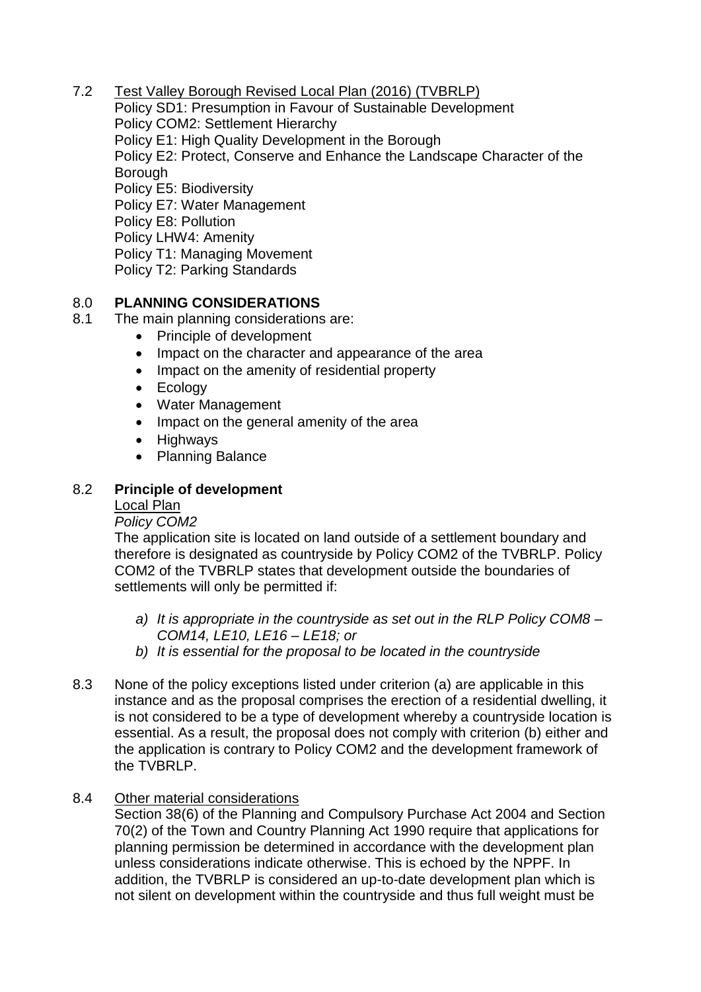7.2 Test Valley Borough Revised Local Plan (2016) (TVBRLP)

Policy SD1: Presumption in Favour of Sustainable Development Policy COM2: Settlement Hierarchy Policy E1: High Quality Development in the Borough Policy E2: Protect, Conserve and Enhance the Landscape Character of the **Borough** Policy E5: Biodiversity Policy E7: Water Management Policy E8: Pollution Policy LHW4: Amenity Policy T1: Managing Movement Policy T2: Parking Standards

## 8.0 **PLANNING CONSIDERATIONS**

- 8.1 The main planning considerations are:
	- Principle of development
	- Impact on the character and appearance of the area
	- Impact on the amenity of residential property
	- Ecology
	- Water Management
	- Impact on the general amenity of the area
	- Highways
	- Planning Balance

#### 8.2 **Principle of development**

#### Local Plan

#### *Policy COM2*

The application site is located on land outside of a settlement boundary and therefore is designated as countryside by Policy COM2 of the TVBRLP. Policy COM2 of the TVBRLP states that development outside the boundaries of settlements will only be permitted if:

- *a) It is appropriate in the countryside as set out in the RLP Policy COM8 – COM14, LE10, LE16 – LE18; or*
- *b) It is essential for the proposal to be located in the countryside*
- 8.3 None of the policy exceptions listed under criterion (a) are applicable in this instance and as the proposal comprises the erection of a residential dwelling, it is not considered to be a type of development whereby a countryside location is essential. As a result, the proposal does not comply with criterion (b) either and the application is contrary to Policy COM2 and the development framework of the TVBRLP.

#### 8.4 Other material considerations

Section 38(6) of the Planning and Compulsory Purchase Act 2004 and Section 70(2) of the Town and Country Planning Act 1990 require that applications for planning permission be determined in accordance with the development plan unless considerations indicate otherwise. This is echoed by the NPPF. In addition, the TVBRLP is considered an up-to-date development plan which is not silent on development within the countryside and thus full weight must be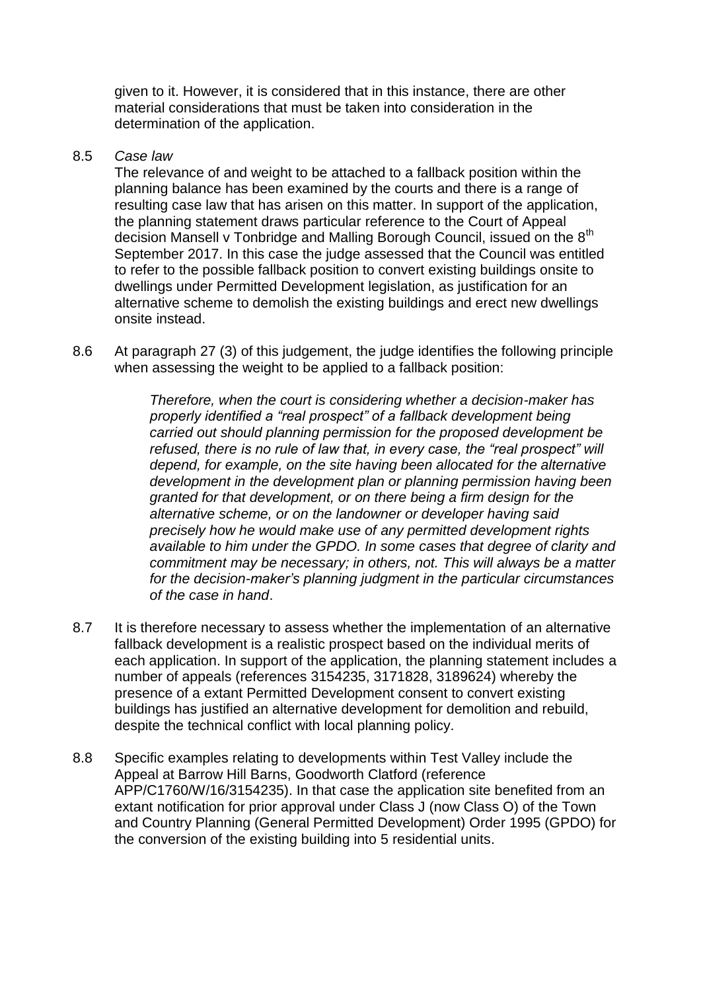given to it. However, it is considered that in this instance, there are other material considerations that must be taken into consideration in the determination of the application.

#### 8.5 *Case law*

The relevance of and weight to be attached to a fallback position within the planning balance has been examined by the courts and there is a range of resulting case law that has arisen on this matter. In support of the application, the planning statement draws particular reference to the Court of Appeal decision Mansell v Tonbridge and Malling Borough Council, issued on the 8<sup>th</sup> September 2017. In this case the judge assessed that the Council was entitled to refer to the possible fallback position to convert existing buildings onsite to dwellings under Permitted Development legislation, as justification for an alternative scheme to demolish the existing buildings and erect new dwellings onsite instead.

8.6 At paragraph 27 (3) of this judgement, the judge identifies the following principle when assessing the weight to be applied to a fallback position:

> *Therefore, when the court is considering whether a decision-maker has properly identified a "real prospect" of a fallback development being carried out should planning permission for the proposed development be refused, there is no rule of law that, in every case, the "real prospect" will depend, for example, on the site having been allocated for the alternative development in the development plan or planning permission having been granted for that development, or on there being a firm design for the alternative scheme, or on the landowner or developer having said precisely how he would make use of any permitted development rights available to him under the GPDO. In some cases that degree of clarity and commitment may be necessary; in others, not. This will always be a matter for the decision-maker's planning judgment in the particular circumstances of the case in hand*.

- 8.7 It is therefore necessary to assess whether the implementation of an alternative fallback development is a realistic prospect based on the individual merits of each application. In support of the application, the planning statement includes a number of appeals (references 3154235, 3171828, 3189624) whereby the presence of a extant Permitted Development consent to convert existing buildings has justified an alternative development for demolition and rebuild, despite the technical conflict with local planning policy.
- 8.8 Specific examples relating to developments within Test Valley include the Appeal at Barrow Hill Barns, Goodworth Clatford (reference APP/C1760/W/16/3154235). In that case the application site benefited from an extant notification for prior approval under Class J (now Class O) of the Town and Country Planning (General Permitted Development) Order 1995 (GPDO) for the conversion of the existing building into 5 residential units.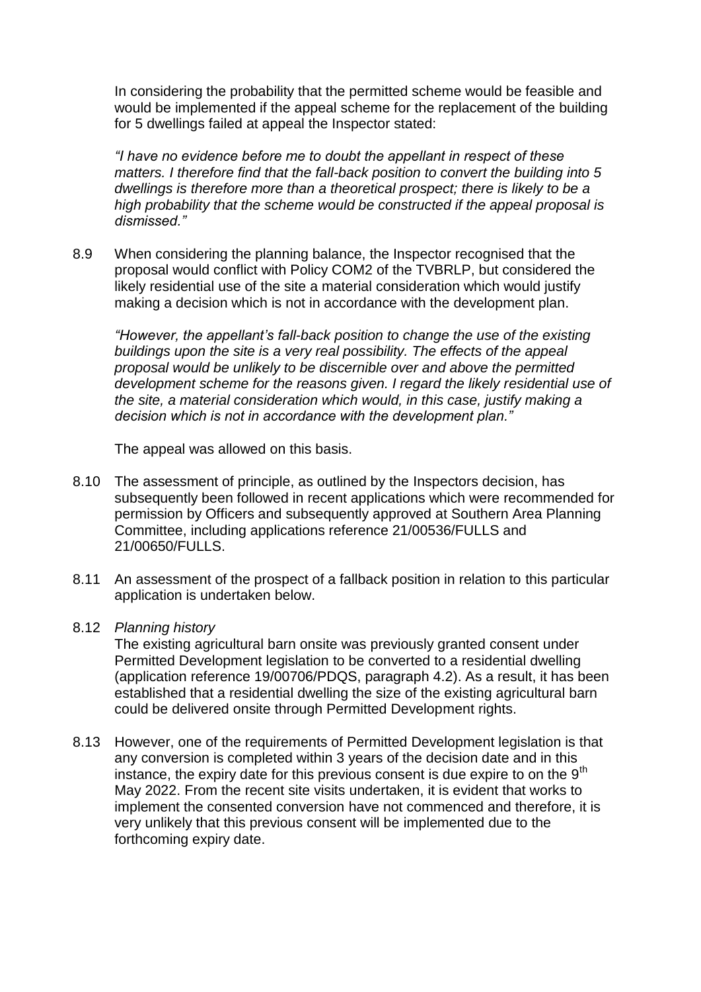In considering the probability that the permitted scheme would be feasible and would be implemented if the appeal scheme for the replacement of the building for 5 dwellings failed at appeal the Inspector stated:

*"I have no evidence before me to doubt the appellant in respect of these matters. I therefore find that the fall-back position to convert the building into 5 dwellings is therefore more than a theoretical prospect; there is likely to be a high probability that the scheme would be constructed if the appeal proposal is dismissed."*

8.9 When considering the planning balance, the Inspector recognised that the proposal would conflict with Policy COM2 of the TVBRLP, but considered the likely residential use of the site a material consideration which would justify making a decision which is not in accordance with the development plan.

*"However, the appellant's fall-back position to change the use of the existing buildings upon the site is a very real possibility. The effects of the appeal proposal would be unlikely to be discernible over and above the permitted development scheme for the reasons given. I regard the likely residential use of the site, a material consideration which would, in this case, justify making a decision which is not in accordance with the development plan."*

The appeal was allowed on this basis.

- 8.10 The assessment of principle, as outlined by the Inspectors decision, has subsequently been followed in recent applications which were recommended for permission by Officers and subsequently approved at Southern Area Planning Committee, including applications reference 21/00536/FULLS and 21/00650/FULLS.
- 8.11 An assessment of the prospect of a fallback position in relation to this particular application is undertaken below.
- 8.12 *Planning history*

The existing agricultural barn onsite was previously granted consent under Permitted Development legislation to be converted to a residential dwelling (application reference 19/00706/PDQS, paragraph 4.2). As a result, it has been established that a residential dwelling the size of the existing agricultural barn could be delivered onsite through Permitted Development rights.

8.13 However, one of the requirements of Permitted Development legislation is that any conversion is completed within 3 years of the decision date and in this instance, the expiry date for this previous consent is due expire to on the  $9<sup>th</sup>$ May 2022. From the recent site visits undertaken, it is evident that works to implement the consented conversion have not commenced and therefore, it is very unlikely that this previous consent will be implemented due to the forthcoming expiry date.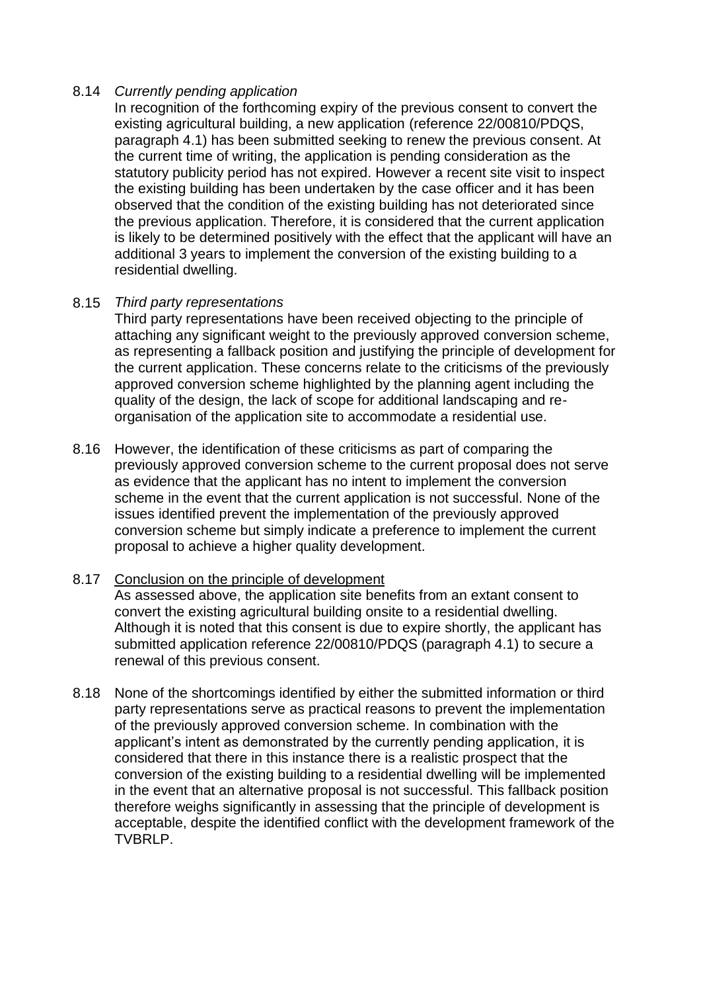#### 8.14 *Currently pending application*

In recognition of the forthcoming expiry of the previous consent to convert the existing agricultural building, a new application (reference 22/00810/PDQS, paragraph 4.1) has been submitted seeking to renew the previous consent. At the current time of writing, the application is pending consideration as the statutory publicity period has not expired. However a recent site visit to inspect the existing building has been undertaken by the case officer and it has been observed that the condition of the existing building has not deteriorated since the previous application. Therefore, it is considered that the current application is likely to be determined positively with the effect that the applicant will have an additional 3 years to implement the conversion of the existing building to a residential dwelling.

## 8.15 *Third party representations*

Third party representations have been received objecting to the principle of attaching any significant weight to the previously approved conversion scheme, as representing a fallback position and justifying the principle of development for the current application. These concerns relate to the criticisms of the previously approved conversion scheme highlighted by the planning agent including the quality of the design, the lack of scope for additional landscaping and reorganisation of the application site to accommodate a residential use.

8.16 However, the identification of these criticisms as part of comparing the previously approved conversion scheme to the current proposal does not serve as evidence that the applicant has no intent to implement the conversion scheme in the event that the current application is not successful. None of the issues identified prevent the implementation of the previously approved conversion scheme but simply indicate a preference to implement the current proposal to achieve a higher quality development.

#### 8.17 Conclusion on the principle of development

As assessed above, the application site benefits from an extant consent to convert the existing agricultural building onsite to a residential dwelling. Although it is noted that this consent is due to expire shortly, the applicant has submitted application reference 22/00810/PDQS (paragraph 4.1) to secure a renewal of this previous consent.

8.18 None of the shortcomings identified by either the submitted information or third party representations serve as practical reasons to prevent the implementation of the previously approved conversion scheme. In combination with the applicant's intent as demonstrated by the currently pending application, it is considered that there in this instance there is a realistic prospect that the conversion of the existing building to a residential dwelling will be implemented in the event that an alternative proposal is not successful. This fallback position therefore weighs significantly in assessing that the principle of development is acceptable, despite the identified conflict with the development framework of the TVBRLP.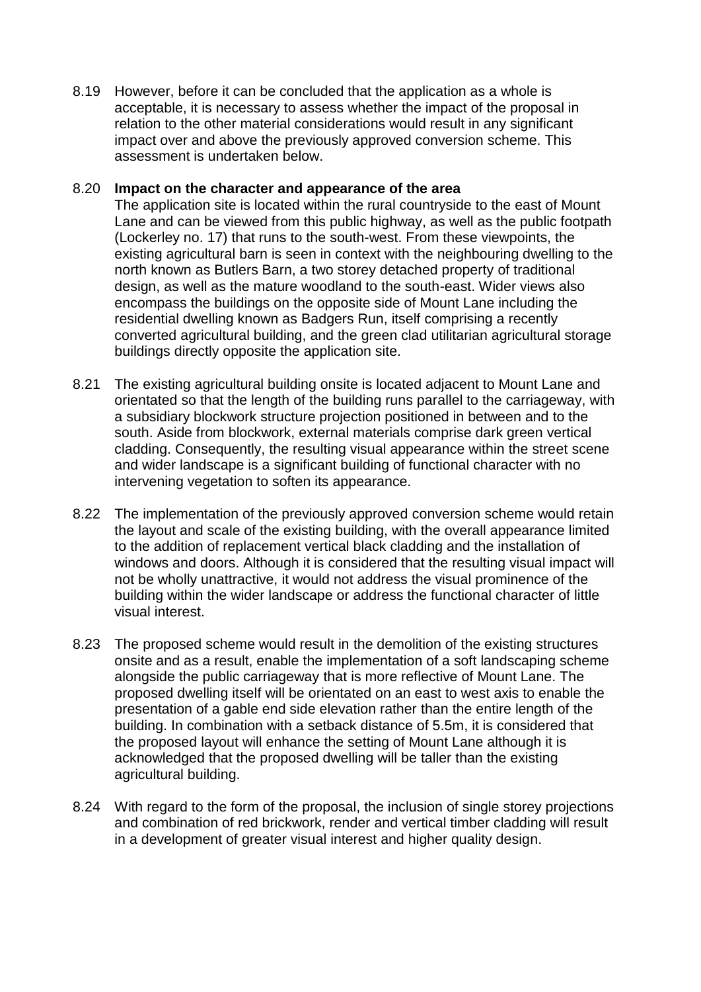8.19 However, before it can be concluded that the application as a whole is acceptable, it is necessary to assess whether the impact of the proposal in relation to the other material considerations would result in any significant impact over and above the previously approved conversion scheme. This assessment is undertaken below.

#### 8.20 **Impact on the character and appearance of the area**

The application site is located within the rural countryside to the east of Mount Lane and can be viewed from this public highway, as well as the public footpath (Lockerley no. 17) that runs to the south-west. From these viewpoints, the existing agricultural barn is seen in context with the neighbouring dwelling to the north known as Butlers Barn, a two storey detached property of traditional design, as well as the mature woodland to the south-east. Wider views also encompass the buildings on the opposite side of Mount Lane including the residential dwelling known as Badgers Run, itself comprising a recently converted agricultural building, and the green clad utilitarian agricultural storage buildings directly opposite the application site.

- 8.21 The existing agricultural building onsite is located adjacent to Mount Lane and orientated so that the length of the building runs parallel to the carriageway, with a subsidiary blockwork structure projection positioned in between and to the south. Aside from blockwork, external materials comprise dark green vertical cladding. Consequently, the resulting visual appearance within the street scene and wider landscape is a significant building of functional character with no intervening vegetation to soften its appearance.
- 8.22 The implementation of the previously approved conversion scheme would retain the layout and scale of the existing building, with the overall appearance limited to the addition of replacement vertical black cladding and the installation of windows and doors. Although it is considered that the resulting visual impact will not be wholly unattractive, it would not address the visual prominence of the building within the wider landscape or address the functional character of little visual interest.
- 8.23 The proposed scheme would result in the demolition of the existing structures onsite and as a result, enable the implementation of a soft landscaping scheme alongside the public carriageway that is more reflective of Mount Lane. The proposed dwelling itself will be orientated on an east to west axis to enable the presentation of a gable end side elevation rather than the entire length of the building. In combination with a setback distance of 5.5m, it is considered that the proposed layout will enhance the setting of Mount Lane although it is acknowledged that the proposed dwelling will be taller than the existing agricultural building.
- 8.24 With regard to the form of the proposal, the inclusion of single storey projections and combination of red brickwork, render and vertical timber cladding will result in a development of greater visual interest and higher quality design.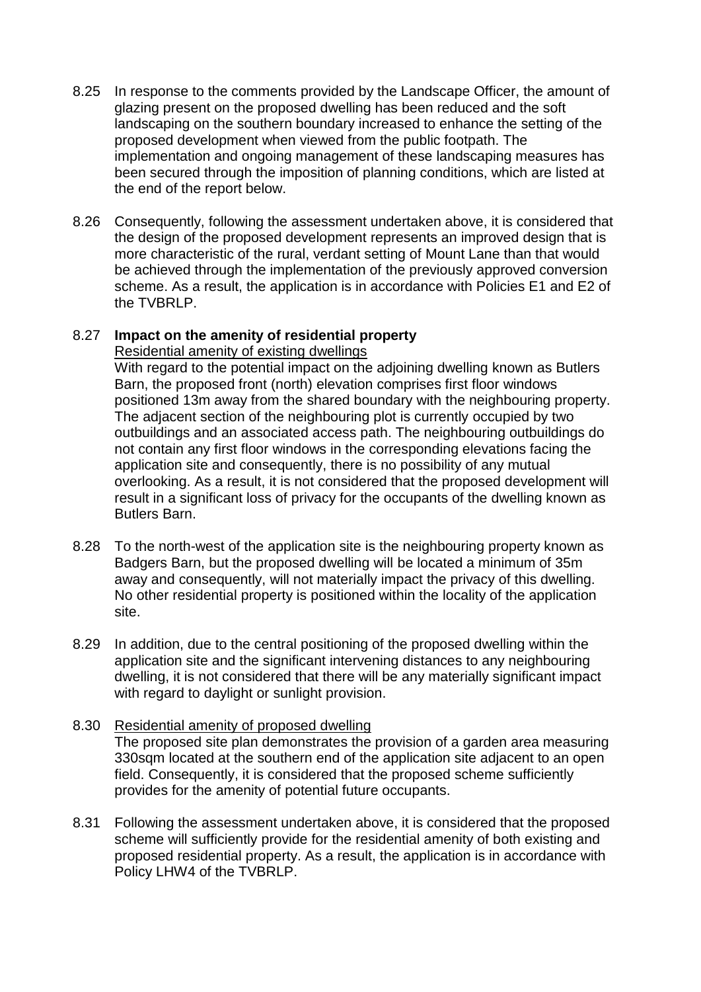- 8.25 In response to the comments provided by the Landscape Officer, the amount of glazing present on the proposed dwelling has been reduced and the soft landscaping on the southern boundary increased to enhance the setting of the proposed development when viewed from the public footpath. The implementation and ongoing management of these landscaping measures has been secured through the imposition of planning conditions, which are listed at the end of the report below.
- 8.26 Consequently, following the assessment undertaken above, it is considered that the design of the proposed development represents an improved design that is more characteristic of the rural, verdant setting of Mount Lane than that would be achieved through the implementation of the previously approved conversion scheme. As a result, the application is in accordance with Policies E1 and E2 of the TVBRLP.

## 8.27 **Impact on the amenity of residential property**

Residential amenity of existing dwellings

With regard to the potential impact on the adjoining dwelling known as Butlers Barn, the proposed front (north) elevation comprises first floor windows positioned 13m away from the shared boundary with the neighbouring property. The adjacent section of the neighbouring plot is currently occupied by two outbuildings and an associated access path. The neighbouring outbuildings do not contain any first floor windows in the corresponding elevations facing the application site and consequently, there is no possibility of any mutual overlooking. As a result, it is not considered that the proposed development will result in a significant loss of privacy for the occupants of the dwelling known as Butlers Barn.

- 8.28 To the north-west of the application site is the neighbouring property known as Badgers Barn, but the proposed dwelling will be located a minimum of 35m away and consequently, will not materially impact the privacy of this dwelling. No other residential property is positioned within the locality of the application site.
- 8.29 In addition, due to the central positioning of the proposed dwelling within the application site and the significant intervening distances to any neighbouring dwelling, it is not considered that there will be any materially significant impact with regard to daylight or sunlight provision.

## 8.30 Residential amenity of proposed dwelling The proposed site plan demonstrates the provision of a garden area measuring 330sqm located at the southern end of the application site adjacent to an open field. Consequently, it is considered that the proposed scheme sufficiently provides for the amenity of potential future occupants.

8.31 Following the assessment undertaken above, it is considered that the proposed scheme will sufficiently provide for the residential amenity of both existing and proposed residential property. As a result, the application is in accordance with Policy LHW4 of the TVBRLP.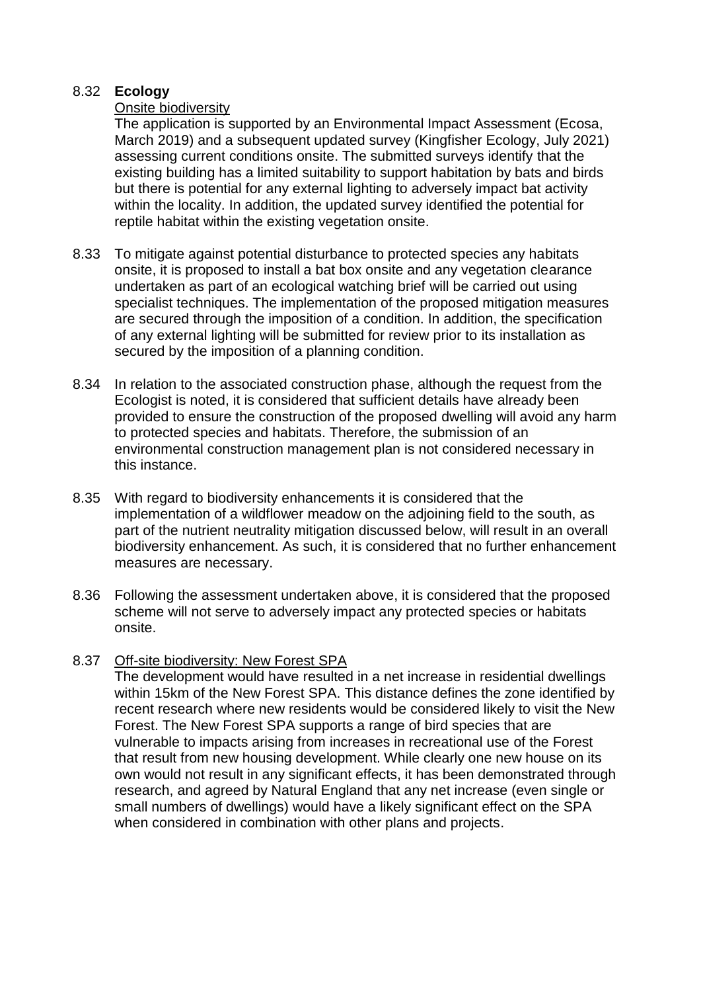#### 8.32 **Ecology**

## Onsite biodiversity

The application is supported by an Environmental Impact Assessment (Ecosa, March 2019) and a subsequent updated survey (Kingfisher Ecology, July 2021) assessing current conditions onsite. The submitted surveys identify that the existing building has a limited suitability to support habitation by bats and birds but there is potential for any external lighting to adversely impact bat activity within the locality. In addition, the updated survey identified the potential for reptile habitat within the existing vegetation onsite.

- 8.33 To mitigate against potential disturbance to protected species any habitats onsite, it is proposed to install a bat box onsite and any vegetation clearance undertaken as part of an ecological watching brief will be carried out using specialist techniques. The implementation of the proposed mitigation measures are secured through the imposition of a condition. In addition, the specification of any external lighting will be submitted for review prior to its installation as secured by the imposition of a planning condition.
- 8.34 In relation to the associated construction phase, although the request from the Ecologist is noted, it is considered that sufficient details have already been provided to ensure the construction of the proposed dwelling will avoid any harm to protected species and habitats. Therefore, the submission of an environmental construction management plan is not considered necessary in this instance.
- 8.35 With regard to biodiversity enhancements it is considered that the implementation of a wildflower meadow on the adjoining field to the south, as part of the nutrient neutrality mitigation discussed below, will result in an overall biodiversity enhancement. As such, it is considered that no further enhancement measures are necessary.
- 8.36 Following the assessment undertaken above, it is considered that the proposed scheme will not serve to adversely impact any protected species or habitats onsite.

## 8.37 Off-site biodiversity: New Forest SPA

The development would have resulted in a net increase in residential dwellings within 15km of the New Forest SPA. This distance defines the zone identified by recent research where new residents would be considered likely to visit the New Forest. The New Forest SPA supports a range of bird species that are vulnerable to impacts arising from increases in recreational use of the Forest that result from new housing development. While clearly one new house on its own would not result in any significant effects, it has been demonstrated through research, and agreed by Natural England that any net increase (even single or small numbers of dwellings) would have a likely significant effect on the SPA when considered in combination with other plans and projects.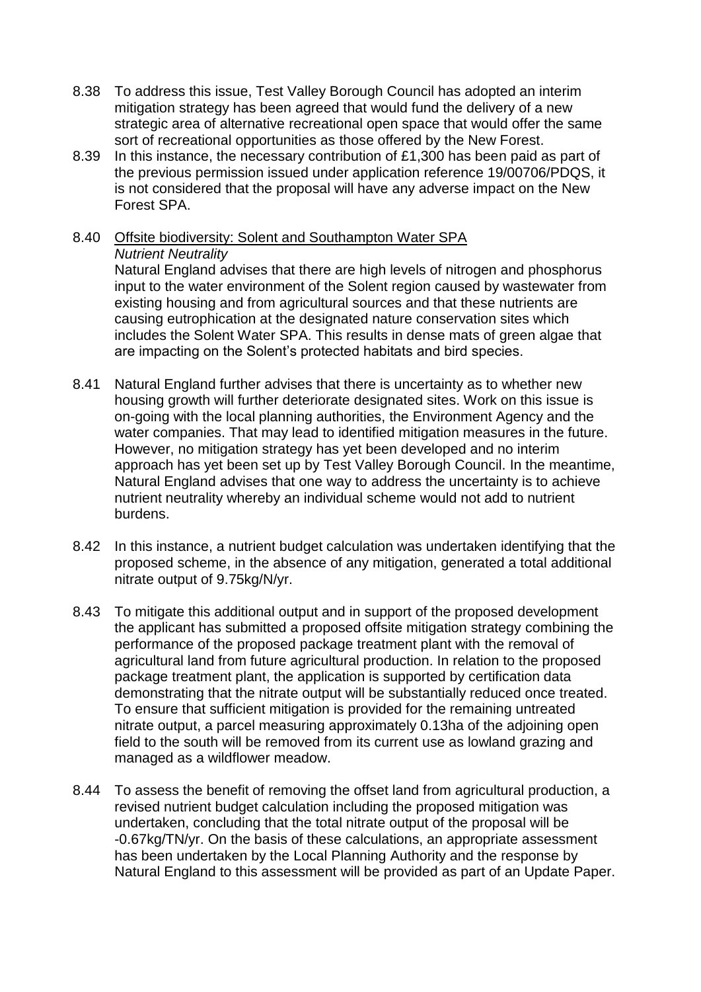- 8.38 To address this issue, Test Valley Borough Council has adopted an interim mitigation strategy has been agreed that would fund the delivery of a new strategic area of alternative recreational open space that would offer the same sort of recreational opportunities as those offered by the New Forest.
- 8.39 In this instance, the necessary contribution of £1,300 has been paid as part of the previous permission issued under application reference 19/00706/PDQS, it is not considered that the proposal will have any adverse impact on the New Forest SPA.
- 8.40 Offsite biodiversity: Solent and Southampton Water SPA *Nutrient Neutrality*

Natural England advises that there are high levels of nitrogen and phosphorus input to the water environment of the Solent region caused by wastewater from existing housing and from agricultural sources and that these nutrients are causing eutrophication at the designated nature conservation sites which includes the Solent Water SPA. This results in dense mats of green algae that are impacting on the Solent's protected habitats and bird species.

- 8.41 Natural England further advises that there is uncertainty as to whether new housing growth will further deteriorate designated sites. Work on this issue is on-going with the local planning authorities, the Environment Agency and the water companies. That may lead to identified mitigation measures in the future. However, no mitigation strategy has yet been developed and no interim approach has yet been set up by Test Valley Borough Council. In the meantime, Natural England advises that one way to address the uncertainty is to achieve nutrient neutrality whereby an individual scheme would not add to nutrient burdens.
- 8.42 In this instance, a nutrient budget calculation was undertaken identifying that the proposed scheme, in the absence of any mitigation, generated a total additional nitrate output of 9.75kg/N/yr.
- 8.43 To mitigate this additional output and in support of the proposed development the applicant has submitted a proposed offsite mitigation strategy combining the performance of the proposed package treatment plant with the removal of agricultural land from future agricultural production. In relation to the proposed package treatment plant, the application is supported by certification data demonstrating that the nitrate output will be substantially reduced once treated. To ensure that sufficient mitigation is provided for the remaining untreated nitrate output, a parcel measuring approximately 0.13ha of the adjoining open field to the south will be removed from its current use as lowland grazing and managed as a wildflower meadow.
- 8.44 To assess the benefit of removing the offset land from agricultural production, a revised nutrient budget calculation including the proposed mitigation was undertaken, concluding that the total nitrate output of the proposal will be -0.67kg/TN/yr. On the basis of these calculations, an appropriate assessment has been undertaken by the Local Planning Authority and the response by Natural England to this assessment will be provided as part of an Update Paper.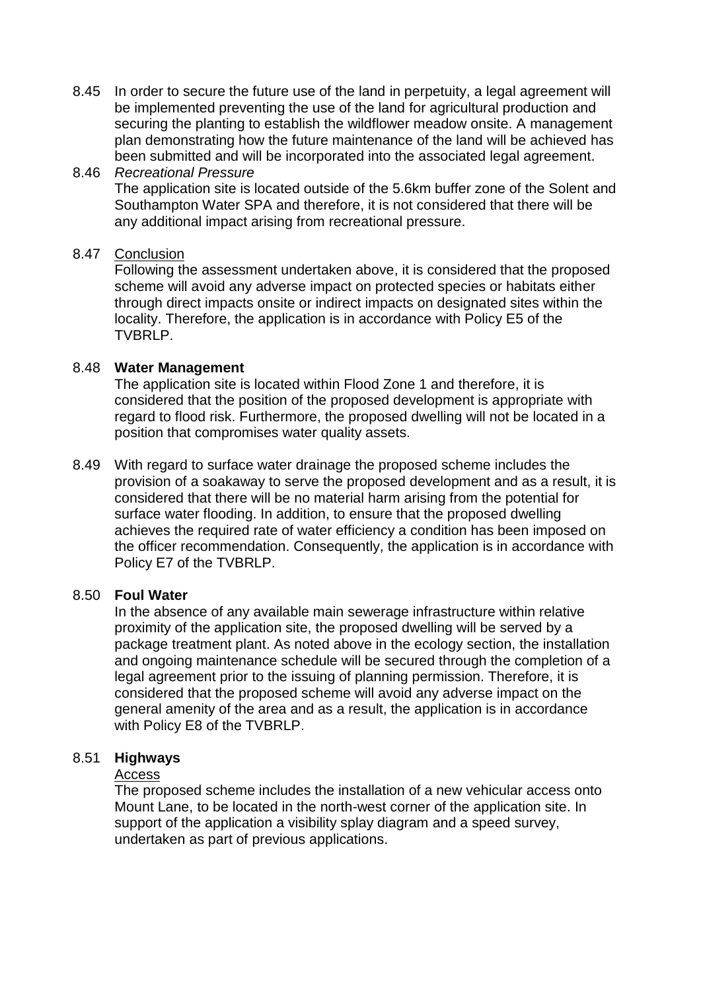8.45 In order to secure the future use of the land in perpetuity, a legal agreement will be implemented preventing the use of the land for agricultural production and securing the planting to establish the wildflower meadow onsite. A management plan demonstrating how the future maintenance of the land will be achieved has been submitted and will be incorporated into the associated legal agreement.

#### 8.46 *Recreational Pressure*

The application site is located outside of the 5.6km buffer zone of the Solent and Southampton Water SPA and therefore, it is not considered that there will be any additional impact arising from recreational pressure.

#### 8.47 Conclusion

Following the assessment undertaken above, it is considered that the proposed scheme will avoid any adverse impact on protected species or habitats either through direct impacts onsite or indirect impacts on designated sites within the locality. Therefore, the application is in accordance with Policy E5 of the TVBRLP.

#### 8.48 **Water Management**

The application site is located within Flood Zone 1 and therefore, it is considered that the position of the proposed development is appropriate with regard to flood risk. Furthermore, the proposed dwelling will not be located in a position that compromises water quality assets.

8.49 With regard to surface water drainage the proposed scheme includes the provision of a soakaway to serve the proposed development and as a result, it is considered that there will be no material harm arising from the potential for surface water flooding. In addition, to ensure that the proposed dwelling achieves the required rate of water efficiency a condition has been imposed on the officer recommendation. Consequently, the application is in accordance with Policy E7 of the TVBRLP.

#### 8.50 **Foul Water**

In the absence of any available main sewerage infrastructure within relative proximity of the application site, the proposed dwelling will be served by a package treatment plant. As noted above in the ecology section, the installation and ongoing maintenance schedule will be secured through the completion of a legal agreement prior to the issuing of planning permission. Therefore, it is considered that the proposed scheme will avoid any adverse impact on the general amenity of the area and as a result, the application is in accordance with Policy E8 of the TVBRLP.

#### 8.51 **Highways**

#### Access

The proposed scheme includes the installation of a new vehicular access onto Mount Lane, to be located in the north-west corner of the application site. In support of the application a visibility splay diagram and a speed survey, undertaken as part of previous applications.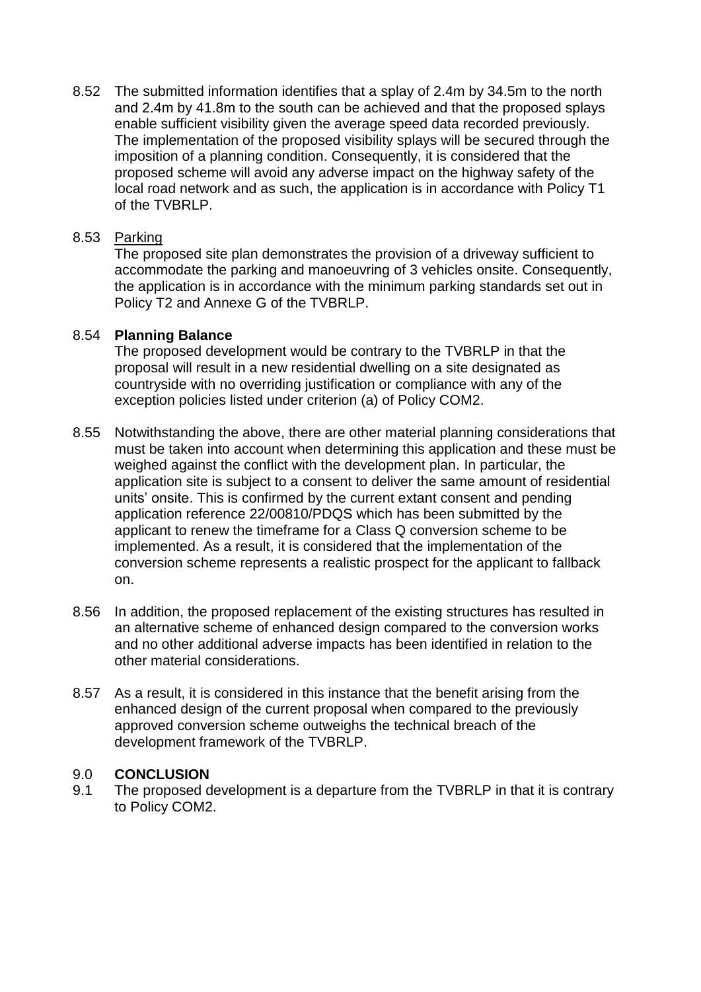8.52 The submitted information identifies that a splay of 2.4m by 34.5m to the north and 2.4m by 41.8m to the south can be achieved and that the proposed splays enable sufficient visibility given the average speed data recorded previously. The implementation of the proposed visibility splays will be secured through the imposition of a planning condition. Consequently, it is considered that the proposed scheme will avoid any adverse impact on the highway safety of the local road network and as such, the application is in accordance with Policy T1 of the TVBRLP.

#### 8.53 Parking

The proposed site plan demonstrates the provision of a driveway sufficient to accommodate the parking and manoeuvring of 3 vehicles onsite. Consequently, the application is in accordance with the minimum parking standards set out in Policy T2 and Annexe G of the TVBRLP.

#### 8.54 **Planning Balance**

The proposed development would be contrary to the TVBRLP in that the proposal will result in a new residential dwelling on a site designated as countryside with no overriding justification or compliance with any of the exception policies listed under criterion (a) of Policy COM2.

- 8.55 Notwithstanding the above, there are other material planning considerations that must be taken into account when determining this application and these must be weighed against the conflict with the development plan. In particular, the application site is subject to a consent to deliver the same amount of residential units' onsite. This is confirmed by the current extant consent and pending application reference 22/00810/PDQS which has been submitted by the applicant to renew the timeframe for a Class Q conversion scheme to be implemented. As a result, it is considered that the implementation of the conversion scheme represents a realistic prospect for the applicant to fallback on.
- 8.56 In addition, the proposed replacement of the existing structures has resulted in an alternative scheme of enhanced design compared to the conversion works and no other additional adverse impacts has been identified in relation to the other material considerations.
- 8.57 As a result, it is considered in this instance that the benefit arising from the enhanced design of the current proposal when compared to the previously approved conversion scheme outweighs the technical breach of the development framework of the TVBRLP.

#### 9.0 **CONCLUSION**

9.1 The proposed development is a departure from the TVBRLP in that it is contrary to Policy COM2.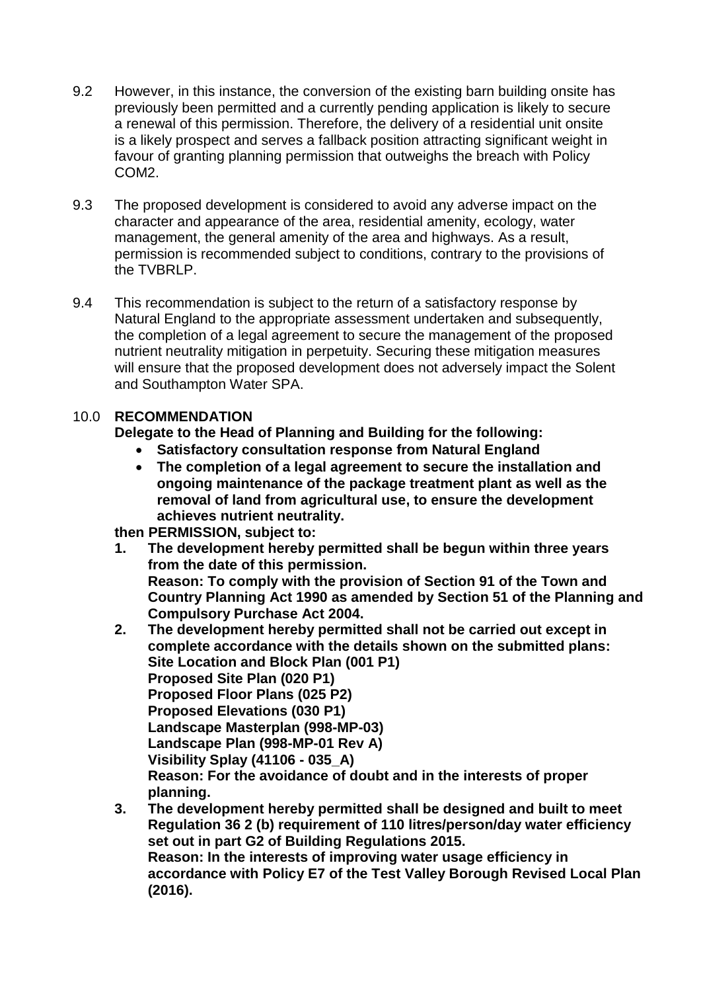- 9.2 However, in this instance, the conversion of the existing barn building onsite has previously been permitted and a currently pending application is likely to secure a renewal of this permission. Therefore, the delivery of a residential unit onsite is a likely prospect and serves a fallback position attracting significant weight in favour of granting planning permission that outweighs the breach with Policy COM2.
- 9.3 The proposed development is considered to avoid any adverse impact on the character and appearance of the area, residential amenity, ecology, water management, the general amenity of the area and highways. As a result, permission is recommended subject to conditions, contrary to the provisions of the TVBRLP.
- 9.4 This recommendation is subject to the return of a satisfactory response by Natural England to the appropriate assessment undertaken and subsequently, the completion of a legal agreement to secure the management of the proposed nutrient neutrality mitigation in perpetuity. Securing these mitigation measures will ensure that the proposed development does not adversely impact the Solent and Southampton Water SPA.

## 10.0 **RECOMMENDATION**

**Delegate to the Head of Planning and Building for the following:**

- **Satisfactory consultation response from Natural England**
- **The completion of a legal agreement to secure the installation and ongoing maintenance of the package treatment plant as well as the removal of land from agricultural use, to ensure the development achieves nutrient neutrality.**

**then PERMISSION, subject to:**

- **1. The development hereby permitted shall be begun within three years from the date of this permission. Reason: To comply with the provision of Section 91 of the Town and Country Planning Act 1990 as amended by Section 51 of the Planning and Compulsory Purchase Act 2004.**
- **2. The development hereby permitted shall not be carried out except in complete accordance with the details shown on the submitted plans: Site Location and Block Plan (001 P1) Proposed Site Plan (020 P1) Proposed Floor Plans (025 P2) Proposed Elevations (030 P1) Landscape Masterplan (998-MP-03) Landscape Plan (998-MP-01 Rev A) Visibility Splay (41106 - 035\_A) Reason: For the avoidance of doubt and in the interests of proper planning.**
- **3. The development hereby permitted shall be designed and built to meet Regulation 36 2 (b) requirement of 110 litres/person/day water efficiency set out in part G2 of Building Regulations 2015. Reason: In the interests of improving water usage efficiency in accordance with Policy E7 of the Test Valley Borough Revised Local Plan (2016).**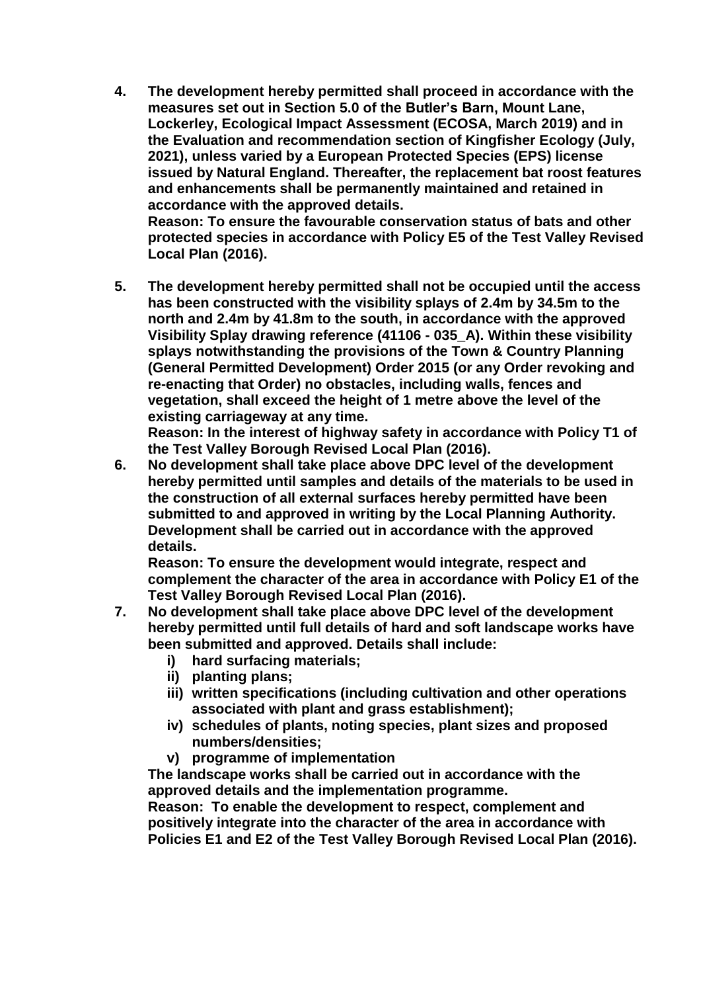**4. The development hereby permitted shall proceed in accordance with the measures set out in Section 5.0 of the Butler's Barn, Mount Lane, Lockerley, Ecological Impact Assessment (ECOSA, March 2019) and in the Evaluation and recommendation section of Kingfisher Ecology (July, 2021), unless varied by a European Protected Species (EPS) license issued by Natural England. Thereafter, the replacement bat roost features and enhancements shall be permanently maintained and retained in accordance with the approved details. Reason: To ensure the favourable conservation status of bats and other** 

**protected species in accordance with Policy E5 of the Test Valley Revised Local Plan (2016).**

**5. The development hereby permitted shall not be occupied until the access has been constructed with the visibility splays of 2.4m by 34.5m to the north and 2.4m by 41.8m to the south, in accordance with the approved Visibility Splay drawing reference (41106 - 035\_A). Within these visibility splays notwithstanding the provisions of the Town & Country Planning (General Permitted Development) Order 2015 (or any Order revoking and re-enacting that Order) no obstacles, including walls, fences and vegetation, shall exceed the height of 1 metre above the level of the existing carriageway at any time.** 

**Reason: In the interest of highway safety in accordance with Policy T1 of the Test Valley Borough Revised Local Plan (2016).**

**6. No development shall take place above DPC level of the development hereby permitted until samples and details of the materials to be used in the construction of all external surfaces hereby permitted have been submitted to and approved in writing by the Local Planning Authority. Development shall be carried out in accordance with the approved details.** 

**Reason: To ensure the development would integrate, respect and complement the character of the area in accordance with Policy E1 of the Test Valley Borough Revised Local Plan (2016).**

- **7. No development shall take place above DPC level of the development hereby permitted until full details of hard and soft landscape works have been submitted and approved. Details shall include:** 
	- **i) hard surfacing materials;**
	- **ii) planting plans;**
	- **iii) written specifications (including cultivation and other operations associated with plant and grass establishment);**
	- **iv) schedules of plants, noting species, plant sizes and proposed numbers/densities;**
	- **v) programme of implementation**

**The landscape works shall be carried out in accordance with the approved details and the implementation programme.**

**Reason: To enable the development to respect, complement and positively integrate into the character of the area in accordance with Policies E1 and E2 of the Test Valley Borough Revised Local Plan (2016).**